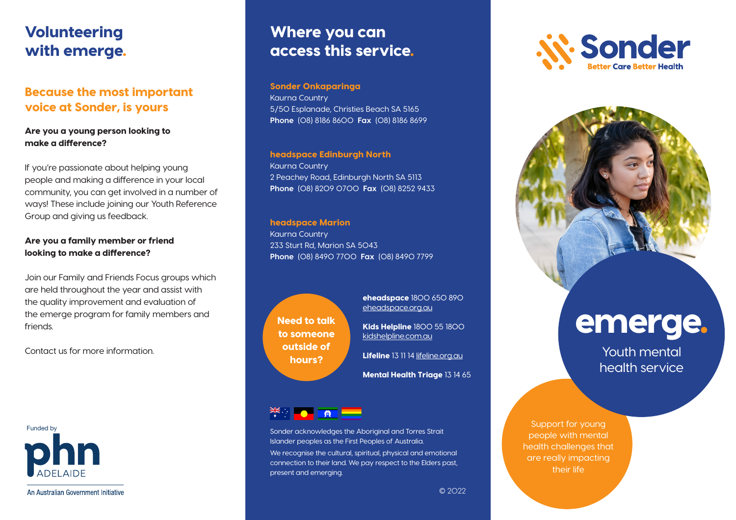## Volunteering with emerge.

## Because the most important voice at Sonder, is yours

### Are you a young person looking to make a difference?

If you're passionate about helping young people and making a difference in your local community, you can get involved in a number of ways! These include joining our Youth Reference Group and giving us feedback.

### Are you a family member or friend looking to make a difference?

Join our Family and Friends Focus groups which are held throughout the year and assist with the quality improvement and evaluation of the emerge program for family members and friends.

Contact us for more information.



An Australian Government Initiative

## Where you can access this service.

### Sonder Onkaparinga

Kaurna Country 5/50 Esplanade, Christies Beach SA 5165 **Phone** (08) 8186 8600 **Fax** (08) 8186 8699

### headspace Edinburgh North

Kaurna Country 2 Peachey Road, Edinburgh North SA 5113 **Phone** (08) 8209 0700 **Fax** (08) 8252 9433

### headspace Marion

Kaurna Country 233 Sturt Rd, Marion SA 5043 **Phone** (08) 8490 7700 **Fax** (08) 8490 7799

Need to talk to someone outside of hours?

eheadspace 1800 650 890 eheadspace.org.au

Kids Helpline 1800 55 1800 kidshelpline.com.au

Lifeline 13 11 14 lifeline.org.au

Mental Health Triage 13 14 65

Funded by Sonder acknowledges the Aboriginal and Torres Strait Islander peoples as the First Peoples of Australia. We recognise the cultural, spiritual, physical and emotional connection to their land. We pay respect to the Elders past, present and emerging.





# emerge.

Youth mental health service

Support for young people with mental health challenges that are really impacting their life